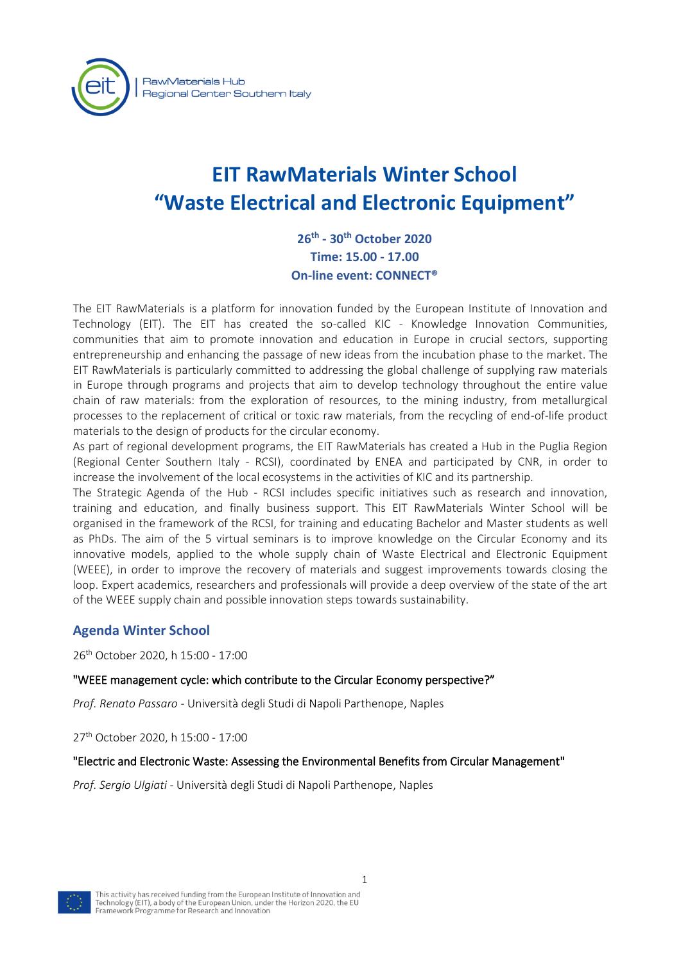

# **EIT RawMaterials Winter School "Waste Electrical and Electronic Equipment"**

**26th - 30th October 2020 Time: 15.00 - 17.00 On-line event: CONNECT®**

The EIT RawMaterials is a platform for innovation funded by the European Institute of Innovation and Technology (EIT). The EIT has created the so-called KIC - Knowledge Innovation Communities, communities that aim to promote innovation and education in Europe in crucial sectors, supporting entrepreneurship and enhancing the passage of new ideas from the incubation phase to the market. The EIT RawMaterials is particularly committed to addressing the global challenge of supplying raw materials in Europe through programs and projects that aim to develop technology throughout the entire value chain of raw materials: from the exploration of resources, to the mining industry, from metallurgical processes to the replacement of critical or toxic raw materials, from the recycling of end-of-life product materials to the design of products for the circular economy.

As part of regional development programs, the EIT RawMaterials has created a Hub in the Puglia Region (Regional Center Southern Italy - RCSI), coordinated by ENEA and participated by CNR, in order to increase the involvement of the local ecosystems in the activities of KIC and its partnership.

The Strategic Agenda of the Hub - RCSI includes specific initiatives such as research and innovation, training and education, and finally business support. This EIT RawMaterials Winter School will be organised in the framework of the RCSI, for training and educating Bachelor and Master students as well as PhDs. The aim of the 5 virtual seminars is to improve knowledge on the Circular Economy and its innovative models, applied to the whole supply chain of Waste Electrical and Electronic Equipment (WEEE), in order to improve the recovery of materials and suggest improvements towards closing the loop. Expert academics, researchers and professionals will provide a deep overview of the state of the art of the WEEE supply chain and possible innovation steps towards sustainability.

## **Agenda Winter School**

26th October 2020, h 15:00 - 17:00

### "WEEE management cycle: which contribute to the Circular Economy perspective?"

*Prof. Renato Passaro* - Università degli Studi di Napoli Parthenope, Naples

27th October 2020, h 15:00 - 17:00

### "Electric and Electronic Waste: Assessing the Environmental Benefits from Circular Management"

*Prof. Sergio Ulgiati* - Università degli Studi di Napoli Parthenope, Naples

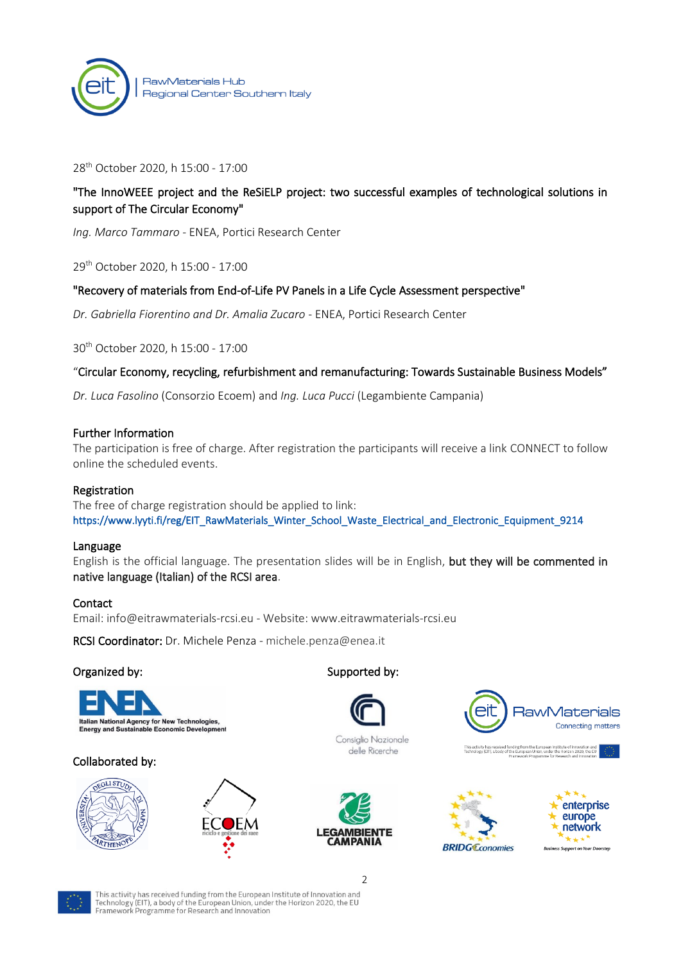

#### 28th October 2020, h 15:00 - 17:00

## "The InnoWEEE project and the ReSiELP project: two successful examples of technological solutions in support of The Circular Economy"

*Ing. Marco Tammaro* - ENEA, Portici Research Center

29th October 2020, h 15:00 - 17:00

#### "Recovery of materials from End-of-Life PV Panels in a Life Cycle Assessment perspective"

*Dr. Gabriella Fiorentino and Dr. Amalia Zucaro* - ENEA, Portici Research Center

30th October 2020, h 15:00 - 17:00

#### "Circular Economy, recycling, refurbishment and remanufacturing: Towards Sustainable Business Models"

*Dr. Luca Fasolino* (Consorzio Ecoem) and *Ing. Luca Pucci* (Legambiente Campania)

#### Further Information

The participation is free of charge. After registration the participants will receive a link CONNECT to follow online the scheduled events.

#### Registration

The free of charge registration should be applied to link: [https://www.lyyti.fi/reg/EIT\\_RawMaterials\\_Winter\\_School\\_Waste\\_Electrical\\_and\\_Electronic\\_Equipment\\_9214](https://www.lyyti.fi/reg/EIT_RawMaterials_Winter_School_Waste_Electrical_and_Electronic_Equipment_9214) 

#### Language

English is the official language. The presentation slides will be in English, but they will be commented in native language (Italian) of the RCSI area.

#### Contact

Email: [info@eitrawmaterials-rcsi.eu](mailto:info@eitrawmaterials-rcsi.eu) - Website: www.eitrawmaterials-rcsi.eu

RCSI Coordinator: Dr. Michele Penza - [michele.penza@enea.it](mailto:michele.penza@enea.it)

#### Organized by: Supported by:



#### Collaborated by:







Consiglio Nazionale delle Ricerche









This activity has received funding from the European Institute of Innovation and Technology (EIT), a body of the European Union, under the Horizon 2020, the EU<br>Framework Programme for Research and Innovation

2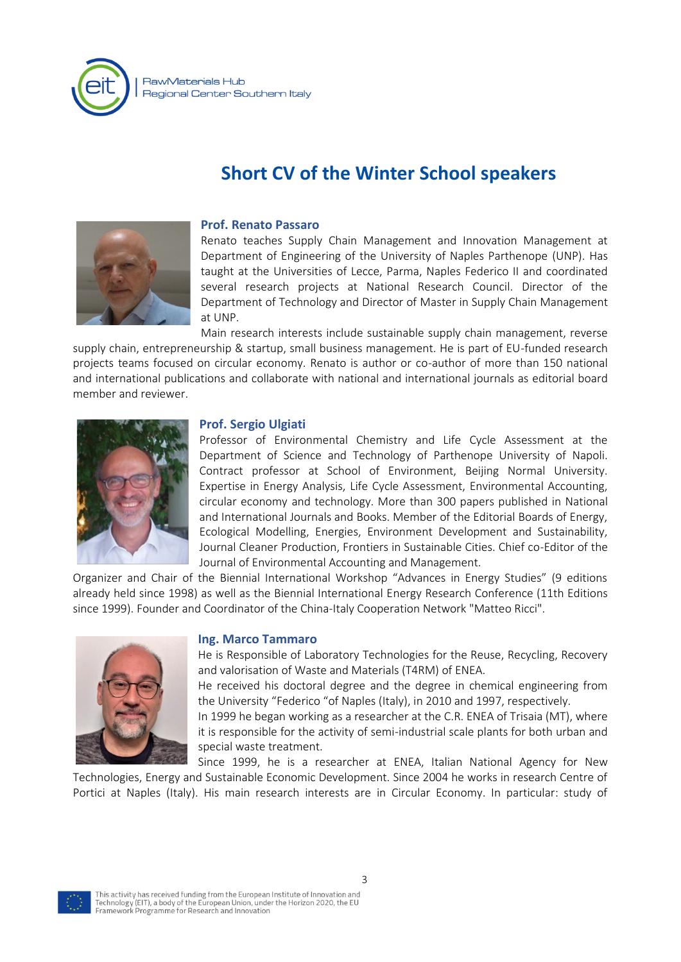

# **Short CV of the Winter School speakers**



#### **Prof. Renato Passaro**

Renato teaches Supply Chain Management and Innovation Management at Department of Engineering of the University of Naples Parthenope (UNP). Has taught at the Universities of Lecce, Parma, Naples Federico II and coordinated several research projects at National Research Council. Director of the Department of Technology and Director of Master in Supply Chain Management at UNP.

Main research interests include sustainable supply chain management, reverse supply chain, entrepreneurship & startup, small business management. He is part of EU-funded research projects teams focused on circular economy. Renato is author or co-author of more than 150 national and international publications and collaborate with national and international journals as editorial board member and reviewer.



#### **Prof. Sergio Ulgiati**

Professor of Environmental Chemistry and Life Cycle Assessment at the Department of Science and Technology of Parthenope University of Napoli. Contract professor at School of Environment, Beijing Normal University. Expertise in Energy Analysis, Life Cycle Assessment, Environmental Accounting, circular economy and technology. More than 300 papers published in National and International Journals and Books. Member of the Editorial Boards of Energy, Ecological Modelling, Energies, Environment Development and Sustainability, Journal Cleaner Production, Frontiers in Sustainable Cities. Chief co-Editor of the Journal of Environmental Accounting and Management.

Organizer and Chair of the Biennial International Workshop "Advances in Energy Studies" (9 editions already held since 1998) as well as the Biennial International Energy Research Conference (11th Editions since 1999). Founder and Coordinator of the China-Italy Cooperation Network "Matteo Ricci".



#### **Ing. Marco Tammaro**

He is Responsible of Laboratory Technologies for the Reuse, Recycling, Recovery and valorisation of Waste and Materials (T4RM) of ENEA.

He received his doctoral degree and the degree in chemical engineering from the University "Federico "of Naples (Italy), in 2010 and 1997, respectively.

In 1999 he began working as a researcher at the C.R. ENEA of Trisaia (MT), where it is responsible for the activity of semi-industrial scale plants for both urban and special waste treatment.

Since 1999, he is a researcher at ENEA, Italian National Agency for New Technologies, Energy and Sustainable Economic Development. Since 2004 he works in research Centre of Portici at Naples (Italy). His main research interests are in Circular Economy. In particular: study of

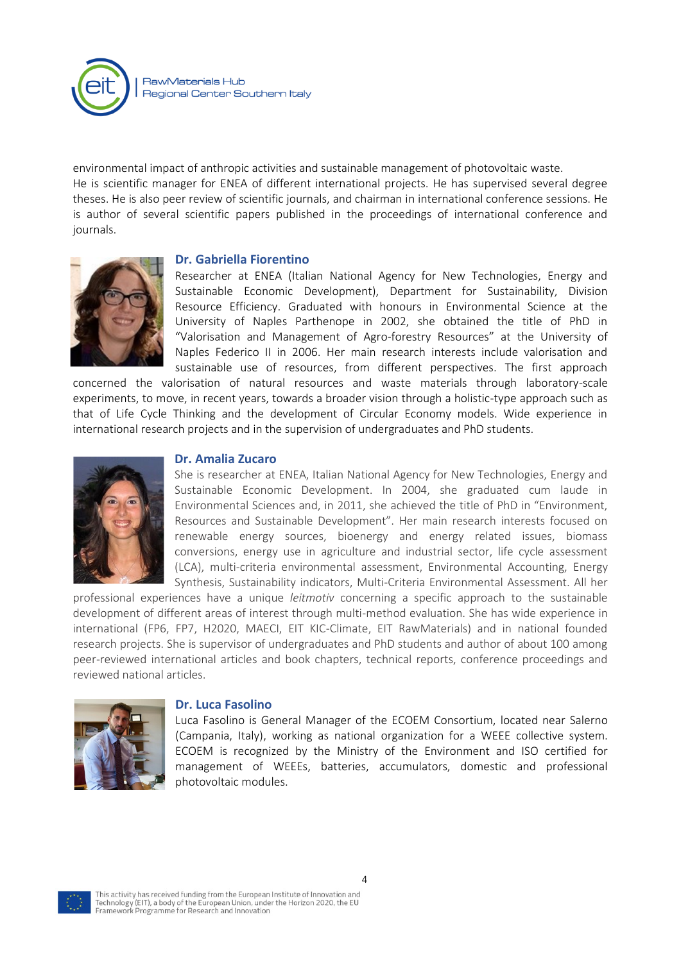environmental impact of anthropic activities and sustainable management of photovoltaic waste. He is scientific manager for ENEA of different international projects. He has supervised several degree theses. He is also peer review of scientific journals, and chairman in international conference sessions. He is author of several scientific papers published in the proceedings of international conference and journals.

#### **Dr. Gabriella Fiorentino**



Researcher at ENEA (Italian National Agency for New Technologies, Energy and Sustainable Economic Development), Department for Sustainability, Division Resource Efficiency. Graduated with honours in Environmental Science at the University of Naples Parthenope in 2002, she obtained the title of PhD in "Valorisation and Management of Agro-forestry Resources" at the University of Naples Federico II in 2006. Her main research interests include valorisation and sustainable use of resources, from different perspectives. The first approach

concerned the valorisation of natural resources and waste materials through laboratory-scale experiments, to move, in recent years, towards a broader vision through a holistic-type approach such as that of Life Cycle Thinking and the development of Circular Economy models. Wide experience in international research projects and in the supervision of undergraduates and PhD students.



#### **Dr. Amalia Zucaro**

She is researcher at ENEA, Italian National Agency for New Technologies, Energy and Sustainable Economic Development. In 2004, she graduated cum laude in Environmental Sciences and, in 2011, she achieved the title of PhD in "Environment, Resources and Sustainable Development". Her main research interests focused on renewable energy sources, bioenergy and energy related issues, biomass conversions, energy use in agriculture and industrial sector, life cycle assessment (LCA), multi-criteria environmental assessment, Environmental Accounting, Energy Synthesis, Sustainability indicators, Multi-Criteria Environmental Assessment. All her

professional experiences have a unique *leitmotiv* concerning a specific approach to the sustainable development of different areas of interest through multi-method evaluation. She has wide experience in international (FP6, FP7, H2020, MAECI, EIT KIC-Climate, EIT RawMaterials) and in national founded research projects. She is supervisor of undergraduates and PhD students and author of about 100 among peer-reviewed international articles and book chapters, technical reports, conference proceedings and reviewed national articles.



#### **Dr. Luca Fasolino**

Luca Fasolino is General Manager of the ECOEM Consortium, located near Salerno (Campania, Italy), working as national organization for a WEEE collective system. ECOEM is recognized by the Ministry of the Environment and ISO certified for management of WEEEs, batteries, accumulators, domestic and professional photovoltaic modules.